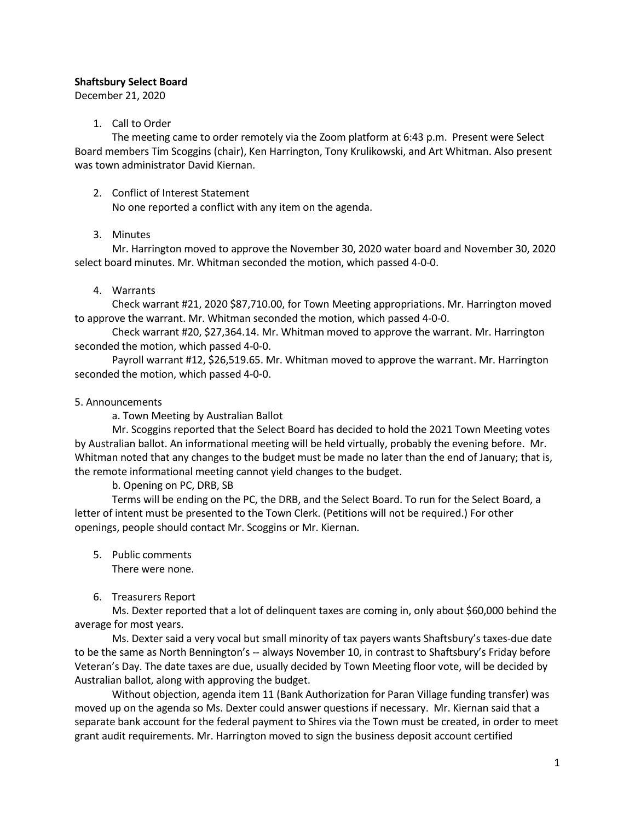## Shaftsbury Select Board

December 21, 2020

## 1. Call to Order

The meeting came to order remotely via the Zoom platform at 6:43 p.m. Present were Select Board members Tim Scoggins (chair), Ken Harrington, Tony Krulikowski, and Art Whitman. Also present was town administrator David Kiernan.

## 2. Conflict of Interest Statement

No one reported a conflict with any item on the agenda.

# 3. Minutes

Mr. Harrington moved to approve the November 30, 2020 water board and November 30, 2020 select board minutes. Mr. Whitman seconded the motion, which passed 4-0-0.

# 4. Warrants

Check warrant #21, 2020 \$87,710.00, for Town Meeting appropriations. Mr. Harrington moved to approve the warrant. Mr. Whitman seconded the motion, which passed 4-0-0.

Check warrant #20, \$27,364.14. Mr. Whitman moved to approve the warrant. Mr. Harrington seconded the motion, which passed 4-0-0.

Payroll warrant #12, \$26,519.65. Mr. Whitman moved to approve the warrant. Mr. Harrington seconded the motion, which passed 4-0-0.

# 5. Announcements

a. Town Meeting by Australian Ballot

Mr. Scoggins reported that the Select Board has decided to hold the 2021 Town Meeting votes by Australian ballot. An informational meeting will be held virtually, probably the evening before. Mr. Whitman noted that any changes to the budget must be made no later than the end of January; that is, the remote informational meeting cannot yield changes to the budget.

b. Opening on PC, DRB, SB

Terms will be ending on the PC, the DRB, and the Select Board. To run for the Select Board, a letter of intent must be presented to the Town Clerk. (Petitions will not be required.) For other openings, people should contact Mr. Scoggins or Mr. Kiernan.

5. Public comments

There were none.

6. Treasurers Report

Ms. Dexter reported that a lot of delinquent taxes are coming in, only about \$60,000 behind the average for most years.

Ms. Dexter said a very vocal but small minority of tax payers wants Shaftsbury's taxes-due date to be the same as North Bennington's -- always November 10, in contrast to Shaftsbury's Friday before Veteran's Day. The date taxes are due, usually decided by Town Meeting floor vote, will be decided by Australian ballot, along with approving the budget.

Without objection, agenda item 11 (Bank Authorization for Paran Village funding transfer) was moved up on the agenda so Ms. Dexter could answer questions if necessary. Mr. Kiernan said that a separate bank account for the federal payment to Shires via the Town must be created, in order to meet grant audit requirements. Mr. Harrington moved to sign the business deposit account certified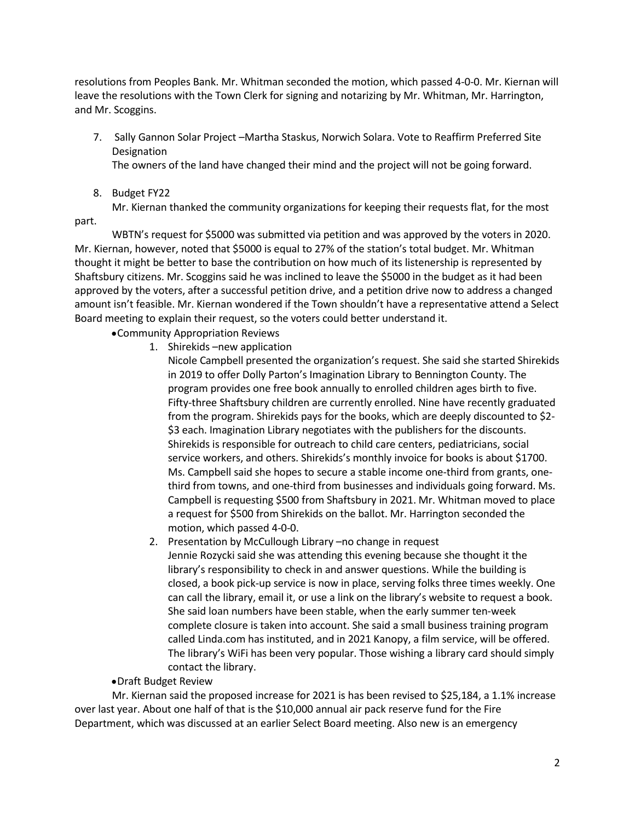resolutions from Peoples Bank. Mr. Whitman seconded the motion, which passed 4-0-0. Mr. Kiernan will leave the resolutions with the Town Clerk for signing and notarizing by Mr. Whitman, Mr. Harrington, and Mr. Scoggins.

7. Sally Gannon Solar Project –Martha Staskus, Norwich Solara. Vote to Reaffirm Preferred Site **Designation** 

The owners of the land have changed their mind and the project will not be going forward.

8. Budget FY22

Mr. Kiernan thanked the community organizations for keeping their requests flat, for the most part.

WBTN's request for \$5000 was submitted via petition and was approved by the voters in 2020. Mr. Kiernan, however, noted that \$5000 is equal to 27% of the station's total budget. Mr. Whitman thought it might be better to base the contribution on how much of its listenership is represented by Shaftsbury citizens. Mr. Scoggins said he was inclined to leave the \$5000 in the budget as it had been approved by the voters, after a successful petition drive, and a petition drive now to address a changed amount isn't feasible. Mr. Kiernan wondered if the Town shouldn't have a representative attend a Select Board meeting to explain their request, so the voters could better understand it.

•Community Appropriation Reviews

1. Shirekids –new application

Nicole Campbell presented the organization's request. She said she started Shirekids in 2019 to offer Dolly Parton's Imagination Library to Bennington County. The program provides one free book annually to enrolled children ages birth to five. Fifty-three Shaftsbury children are currently enrolled. Nine have recently graduated from the program. Shirekids pays for the books, which are deeply discounted to \$2- \$3 each. Imagination Library negotiates with the publishers for the discounts. Shirekids is responsible for outreach to child care centers, pediatricians, social service workers, and others. Shirekids's monthly invoice for books is about \$1700. Ms. Campbell said she hopes to secure a stable income one-third from grants, onethird from towns, and one-third from businesses and individuals going forward. Ms. Campbell is requesting \$500 from Shaftsbury in 2021. Mr. Whitman moved to place a request for \$500 from Shirekids on the ballot. Mr. Harrington seconded the motion, which passed 4-0-0.

2. Presentation by McCullough Library –no change in request

Jennie Rozycki said she was attending this evening because she thought it the library's responsibility to check in and answer questions. While the building is closed, a book pick-up service is now in place, serving folks three times weekly. One can call the library, email it, or use a link on the library's website to request a book. She said loan numbers have been stable, when the early summer ten-week complete closure is taken into account. She said a small business training program called Linda.com has instituted, and in 2021 Kanopy, a film service, will be offered. The library's WiFi has been very popular. Those wishing a library card should simply contact the library.

•Draft Budget Review

Mr. Kiernan said the proposed increase for 2021 is has been revised to \$25,184, a 1.1% increase over last year. About one half of that is the \$10,000 annual air pack reserve fund for the Fire Department, which was discussed at an earlier Select Board meeting. Also new is an emergency